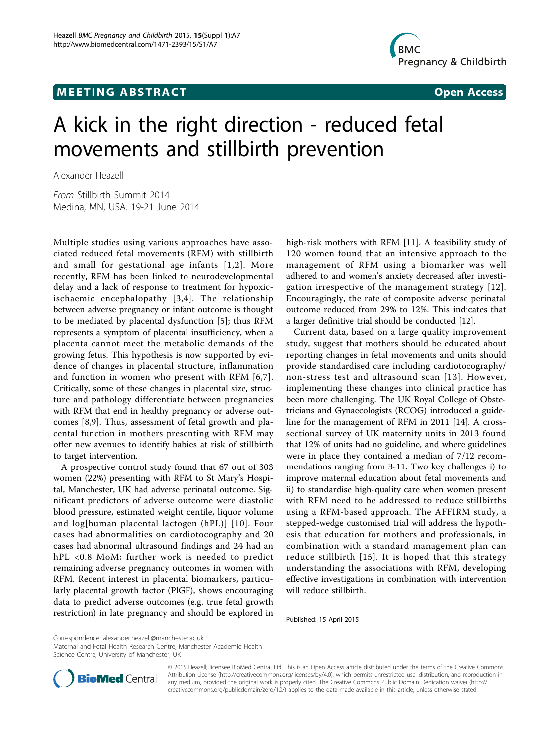## **MEETING ABSTRACT ACCESS**



# A kick in the right direction - reduced fetal movements and stillbirth prevention

Alexander Heazell

From Stillbirth Summit 2014 Medina, MN, USA. 19-21 June 2014

Multiple studies using various approaches have associated reduced fetal movements (RFM) with stillbirth and small for gestational age infants [[1,2\]](#page-1-0). More recently, RFM has been linked to neurodevelopmental delay and a lack of response to treatment for hypoxicischaemic encephalopathy [[3,4\]](#page-1-0). The relationship between adverse pregnancy or infant outcome is thought to be mediated by placental dysfunction [\[5](#page-1-0)]; thus RFM represents a symptom of placental insufficiency, when a placenta cannot meet the metabolic demands of the growing fetus. This hypothesis is now supported by evidence of changes in placental structure, inflammation and function in women who present with RFM [[6](#page-1-0),[7\]](#page-1-0). Critically, some of these changes in placental size, structure and pathology differentiate between pregnancies with RFM that end in healthy pregnancy or adverse outcomes [[8,9\]](#page-1-0). Thus, assessment of fetal growth and placental function in mothers presenting with RFM may offer new avenues to identify babies at risk of stillbirth to target intervention.

A prospective control study found that 67 out of 303 women (22%) presenting with RFM to St Mary's Hospital, Manchester, UK had adverse perinatal outcome. Significant predictors of adverse outcome were diastolic blood pressure, estimated weight centile, liquor volume and log[human placental lactogen (hPL)] [[10](#page-1-0)]. Four cases had abnormalities on cardiotocography and 20 cases had abnormal ultrasound findings and 24 had an hPL <0.8 MoM; further work is needed to predict remaining adverse pregnancy outcomes in women with RFM. Recent interest in placental biomarkers, particularly placental growth factor (PlGF), shows encouraging data to predict adverse outcomes (e.g. true fetal growth restriction) in late pregnancy and should be explored in high-risk mothers with RFM [\[11](#page-1-0)]. A feasibility study of 120 women found that an intensive approach to the management of RFM using a biomarker was well adhered to and women's anxiety decreased after investigation irrespective of the management strategy [[12\]](#page-1-0). Encouragingly, the rate of composite adverse perinatal outcome reduced from 29% to 12%. This indicates that a larger definitive trial should be conducted [\[12\]](#page-1-0).

Current data, based on a large quality improvement study, suggest that mothers should be educated about reporting changes in fetal movements and units should provide standardised care including cardiotocography/ non-stress test and ultrasound scan [[13\]](#page-1-0). However, implementing these changes into clinical practice has been more challenging. The UK Royal College of Obstetricians and Gynaecologists (RCOG) introduced a guideline for the management of RFM in 2011 [[14\]](#page-1-0). A crosssectional survey of UK maternity units in 2013 found that 12% of units had no guideline, and where guidelines were in place they contained a median of 7/12 recommendations ranging from 3-11. Two key challenges i) to improve maternal education about fetal movements and ii) to standardise high-quality care when women present with RFM need to be addressed to reduce stillbirths using a RFM-based approach. The AFFIRM study, a stepped-wedge customised trial will address the hypothesis that education for mothers and professionals, in combination with a standard management plan can reduce stillbirth [[15](#page-1-0)]. It is hoped that this strategy understanding the associations with RFM, developing effective investigations in combination with intervention will reduce stillbirth.

Published: 15 April 2015

Correspondence: [alexander.heazell@manchester.ac.uk](mailto:alexander.heazell@manchester.ac.uk)

Maternal and Fetal Health Research Centre, Manchester Academic Health Science Centre, University of Manchester, UK



© 2015 Heazell; licensee BioMed Central Ltd. This is an Open Access article distributed under the terms of the Creative Commons Attribution License [\(http://creativecommons.org/licenses/by/4.0](http://creativecommons.org/licenses/by/4.0)), which permits unrestricted use, distribution, and reproduction in any medium, provided the original work is properly cited. The Creative Commons Public Domain Dedication waiver [\(http://](http://creativecommons.org/publicdomain/zero/1.0/) [creativecommons.org/publicdomain/zero/1.0/](http://creativecommons.org/publicdomain/zero/1.0/)) applies to the data made available in this article, unless otherwise stated.